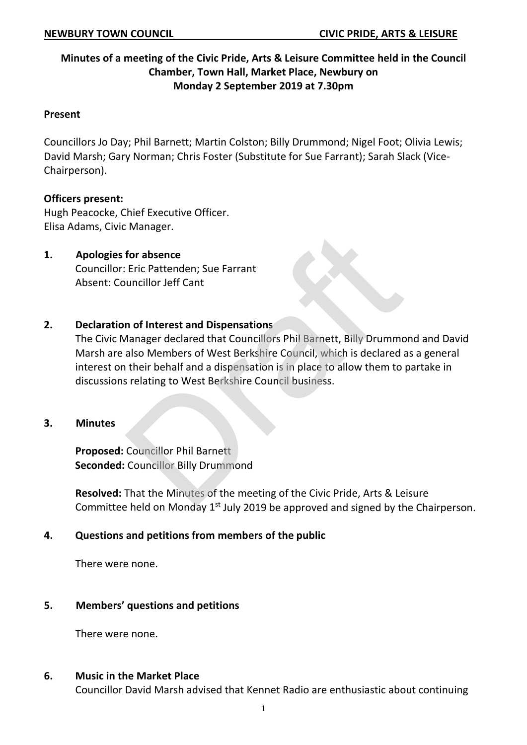# **Minutes of a meeting of the Civic Pride, Arts & Leisure Committee held in the Council Chamber, Town Hall, Market Place, Newbury on Monday 2 September 2019 at 7.30pm**

#### **Present**

Councillors Jo Day; Phil Barnett; Martin Colston; Billy Drummond; Nigel Foot; Olivia Lewis; David Marsh; Gary Norman; Chris Foster (Substitute for Sue Farrant); Sarah Slack (Vice-Chairperson).

### **Officers present:**

Hugh Peacocke, Chief Executive Officer. Elisa Adams, Civic Manager.

# **1. Apologies for absence**

Councillor: Eric Pattenden; Sue Farrant Absent: Councillor Jeff Cant

## **2. Declaration of Interest and Dispensations**

The Civic Manager declared that Councillors Phil Barnett, Billy Drummond and David Marsh are also Members of West Berkshire Council, which is declared as a general interest on their behalf and a dispensation is in place to allow them to partake in discussions relating to West Berkshire Council business. For absence<br>
Eric Pattenden; Sue Farrant<br>
uncillor Jeff Cant<br> **n of Interest and Dispensations**<br>
Manager declared that Councillors Phil Barnett, Billy Drummc<br>
also Members of West Berkshire Council, which is declared a<br>
th

### **3. Minutes**

**Proposed:** Councillor Phil Barnett **Seconded:** Councillor Billy Drummond

**Resolved:** That the Minutes of the meeting of the Civic Pride, Arts & Leisure Committee held on Monday  $1<sup>st</sup>$  July 2019 be approved and signed by the Chairperson.

### **4. Questions and petitions from members of the public**

There were none.

# **5. Members' questions and petitions**

There were none.

### **6. Music in the Market Place**

Councillor David Marsh advised that Kennet Radio are enthusiastic about continuing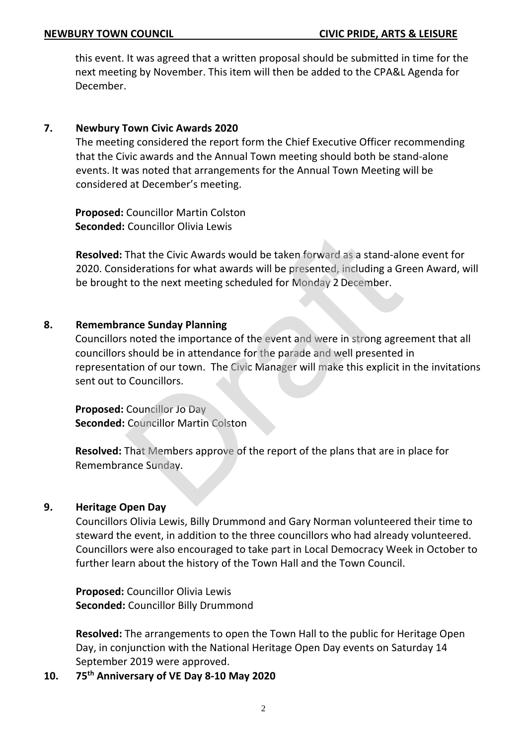this event. It was agreed that a written proposal should be submitted in time for the next meeting by November. This item will then be added to the CPA&L Agenda for December.

### **7. Newbury Town Civic Awards 2020**

The meeting considered the report form the Chief Executive Officer recommending that the Civic awards and the Annual Town meeting should both be stand-alone events. It was noted that arrangements for the Annual Town Meeting will be considered at December's meeting.

**Proposed:** Councillor Martin Colston **Seconded:** Councillor Olivia Lewis

**Resolved:** That the Civic Awards would be taken forward as a stand-alone event for 2020. Considerations for what awards will be presented, including a Green Award, will be brought to the next meeting scheduled for Monday 2 December.

## **8. Remembrance Sunday Planning**

Councillors noted the importance of the event and were in strong agreement that all councillors should be in attendance for the parade and well presented in representation of our town. The Civic Manager will make this explicit in the invitations sent out to Councillors. That the Civic Awards would be taken forward as a stand-alconductions for what awards will be presented, including a Graph to the next meeting scheduled for Monday 2 December.<br> **ance Sunday Planning**<br>
snoted the importance

**Proposed:** Councillor Jo Day **Seconded:** Councillor Martin Colston

**Resolved:** That Members approve of the report of the plans that are in place for Remembrance Sunday.

### **9. Heritage Open Day**

Councillors Olivia Lewis, Billy Drummond and Gary Norman volunteered their time to steward the event, in addition to the three councillors who had already volunteered. Councillors were also encouraged to take part in Local Democracy Week in October to further learn about the history of the Town Hall and the Town Council.

**Proposed:** Councillor Olivia Lewis **Seconded:** Councillor Billy Drummond

**Resolved:** The arrangements to open the Town Hall to the public for Heritage Open Day, in conjunction with the National Heritage Open Day events on Saturday 14 September 2019 were approved.

**10. 75th Anniversary of VE Day 8-10 May 2020**